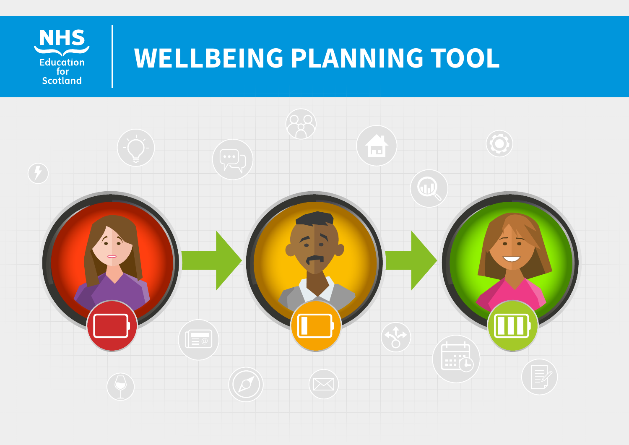

# **WELLBEING PLANNING TOOL**

1

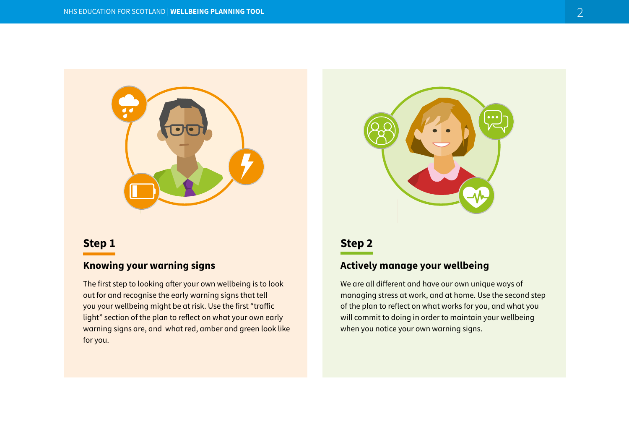

# **Step 1**

# **Knowing your warning signs**

The first step to looking after your own wellbeing is to look out for and recognise the early warning signs that tell you your wellbeing might be at risk. Use the first "traffic light" section of the plan to reflect on what your own early warning signs are, and what red, amber and green look like for you.



# **Step 2**

# **Actively manage your wellbeing**

We are all different and have our own unique ways of managing stress at work, and at home. Use the second step of the plan to reflect on what works for you, and what you will commit to doing in order to maintain your wellbeing when you notice your own warning signs.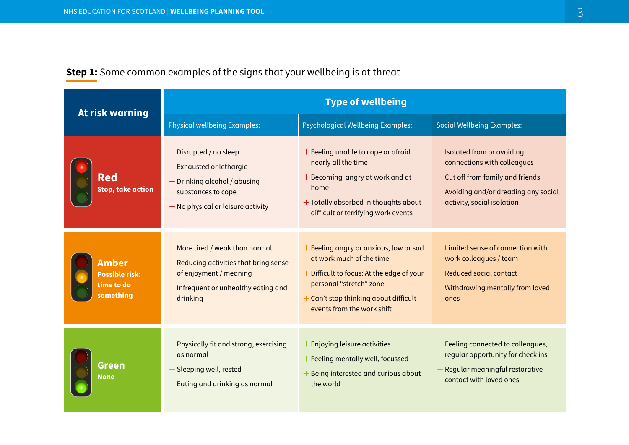|                                                                  | <b>Type of wellbeing</b>                                                                                                                                    |                                                                                                                                                                                                                         |                                                                                                                                                                          |  |
|------------------------------------------------------------------|-------------------------------------------------------------------------------------------------------------------------------------------------------------|-------------------------------------------------------------------------------------------------------------------------------------------------------------------------------------------------------------------------|--------------------------------------------------------------------------------------------------------------------------------------------------------------------------|--|
| At risk warning                                                  | <b>Physical wellbeing Examples:</b>                                                                                                                         | <b>Psychological Wellbeing Examples:</b>                                                                                                                                                                                | <b>Social Wellbeing Examples:</b>                                                                                                                                        |  |
| Red<br><b>Stop, take action</b>                                  | $+$ Disrupted / no sleep<br>$+$ Exhausted or lethargic<br>+ Drinking alcohol / abusing<br>substances to cope<br>$+$ No physical or leisure activity         | + Feeling unable to cope or afraid<br>nearly all the time<br>+ Becoming angry at work and at<br>home<br>$+$ Totally absorbed in thoughts about<br>difficult or terrifying work events                                   | + Isolated from or avoiding<br>connections with colleagues<br>+ Cut off from family and friends<br>$+$ Avoiding and/or dreading any social<br>activity, social isolation |  |
| <b>Amber</b><br><b>Possible risk:</b><br>time to do<br>something | + More tired / weak than normal<br>$+$ Reducing activities that bring sense<br>of enjoyment / meaning<br>$+$ Infrequent or unhealthy eating and<br>drinking | $+$ Feeling angry or anxious, low or sad<br>at work much of the time<br>$+$ Difficult to focus: At the edge of your<br>personal "stretch" zone<br>$+$ Can't stop thinking about difficult<br>events from the work shift | $+$ Limited sense of connection with<br>work colleagues / team<br><b>Reduced social contact</b><br>$+$ Withdrawing mentally from loved<br>ones                           |  |
| Green<br>None                                                    | $+$ Physically fit and strong, exercising<br>as normal<br>$+$ Sleeping well, rested<br>+ Eating and drinking as normal                                      | <b>Enjoying leisure activities</b><br>$+$ Feeling mentally well, focussed<br>Being interested and curious about<br>the world                                                                                            | $+$ Feeling connected to colleagues,<br>regular opportunity for check ins<br>$+$ Regular meaningful restorative<br>contact with loved ones                               |  |

# **Step 1:** Some common examples of the signs that your wellbeing is at threat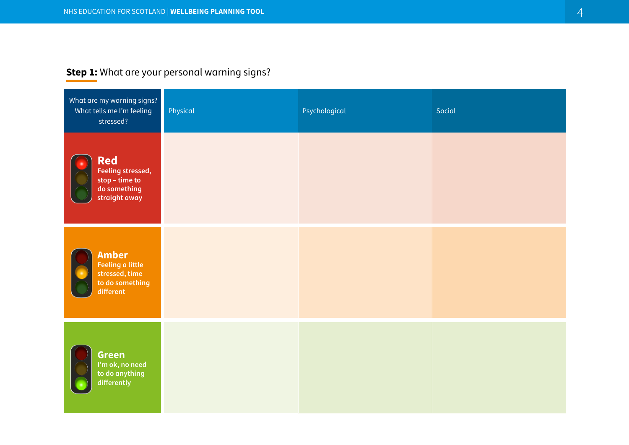# **Step 1:** What are your personal warning signs?

| What are my warning signs?<br>What tells me I'm feeling<br>stressed?               | Physical | Psychological | Social |
|------------------------------------------------------------------------------------|----------|---------------|--------|
| <b>Red</b><br>Feeling stressed,<br>stop – time to<br>do something<br>straight away |          |               |        |
| <b>Amber</b><br>Feeling a little<br>stressed, time<br>to do something<br>different |          |               |        |
| <b>Green</b><br>I'm ok, no need<br>to do anything<br>differently                   |          |               |        |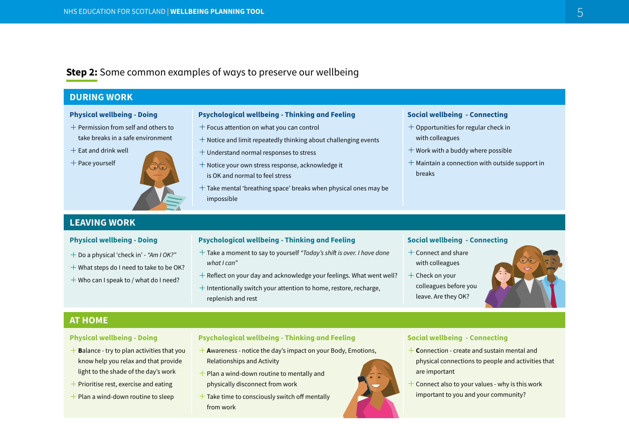# **Step 2:** Some common examples of ways to preserve our wellbeing

#### **DURING WORK**

#### **Physical wellbeing - Doing**

- $+$  Permission from self and others to take breaks in a safe environment
- $+$  Eat and drink well





#### **Psychological wellbeing - Thinking and Feeling**

- $+$  Focus attention on what you can control
- $+$  Notice and limit repeatedly thinking about challenging events
- $+$  Understand normal responses to stress
- $+$  Notice your own stress response, acknowledge it is OK and normal to feel stress
- $+$  Take mental 'breathing space' breaks when physical ones may be impossible

#### **Social wellbeing - Connecting**

- $+$  Opportunities for regular check in with colleagues
- $+$  Work with a buddy where possible
- $+$  Maintain a connection with outside support in breaks

## **LEAVING WORK**

#### **Physical wellbeing - Doing**

- Do a physical 'check in' *"Am I OK?"*
- $+$  What steps do I need to take to be OK?
- $+$  Who can I speak to / what do I need?

#### **Psychological wellbeing - Thinking and Feeling**

- Take a moment to say to yourself *"Today's shift is over. I have done what I can"*
- $+$  Reflect on your day and acknowledge your feelings. What went well?
- $+$  Intentionally switch your attention to home, restore, recharge, replenish and rest

#### **Social wellbeing - Connecting**

- $+$  Connect and share with colleagues
- $+$  Check on your colleagues before you leave. Are they OK?

### **AT HOME**

#### **Physical wellbeing - Doing**

- $+$  **B**alance try to plan activities that you know help you relax and that provide light to the shade of the day's work
- $+$  Prioritise rest, exercise and eating
- $+$  Plan a wind-down routine to sleep

#### **Psychological wellbeing - Thinking and Feeling**

- **A**wareness notice the day's impact on your Body, Emotions, Relationships and Activity
- $+$  Plan a wind-down routine to mentally and physically disconnect from work
- $+$  Take time to consciously switch off mentally from work

#### **Social wellbeing - Connecting**

- **C**onnection create and sustain mental and physical connections to people and activities that are important
- $+$  Connect also to your values why is this work important to you and your community?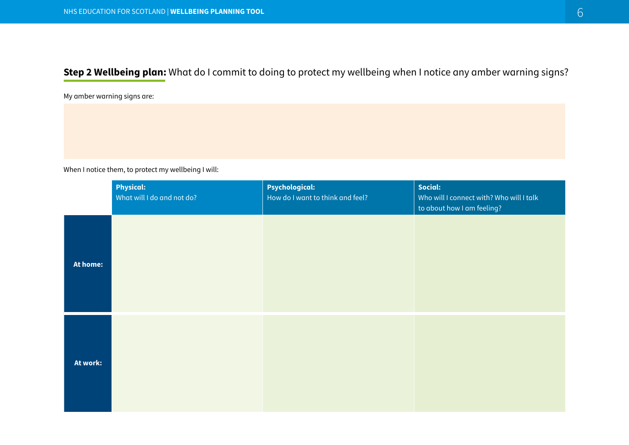**Step 2 Wellbeing plan:** What do I commit to doing to protect my wellbeing when I notice any amber warning signs?

My amber warning signs are:

When I notice them, to protect my wellbeing I will:

|          | <b>Physical:</b><br>What will I do and not do? | <b>Psychological:</b><br>How do I want to think and feel? | Social:<br>Who will I connect with? Who will I talk<br>to about how I am feeling? |
|----------|------------------------------------------------|-----------------------------------------------------------|-----------------------------------------------------------------------------------|
| At home: |                                                |                                                           |                                                                                   |
| At work: |                                                |                                                           |                                                                                   |